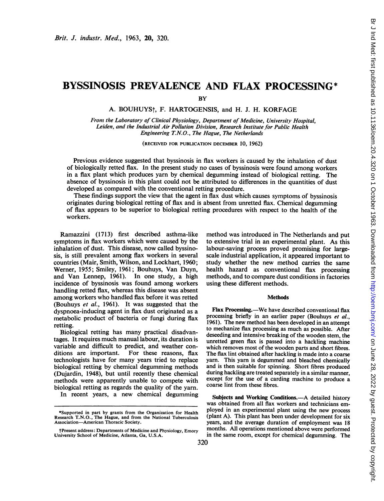# BYSSINOSIS PREVALENCE AND FLAX PROCESSING\*

**BY** 

A. BOUHUYSt, F. HARTOGENSIS, and H. J. H. KORFAGE

From the Laboratory of Clinical Physiology, Department of Medicine, University Hospital, Leiden, and the Industrial Air Pollution Division, Research Institute for Public Health Engineering T.N.O., The Hague, The Netherlands

(RECEIVED FOR PUBLICATION DECEMBER 10, 1962)

Previous evidence suggested that byssinosis in flax workers is caused by the inhalation of dust of biologically retted flax. In the present study no cases of byssinosis were found among workers in a flax plant which produces yarn by chemical degumming instead of biological retting. The absence of byssinosis in this plant could not be attributed to differences in the quantities of dust developed as compared with the conventional retting procedure.

These findings support the view that the agent in flax dust which causes symptoms of byssinosis originates during biological retting of flax and is absent from unretted flax. Chemical degumming of flax appears to be superior to biological retting procedures with respect to the health of the workers.

Ramazzini (1713) first described asthma-like symptoms in flax workers which were caused by the inhalation of dust. This disease, now called byssinosis, is still prevalent among flax workers in several countries (Mair, Smith, Wilson, and Lockhart, 1960; Werner, 1955; Smiley, 1961; Bouhuys, Van Duyn, and Van Lennep, 1961). In one study, a high incidence of byssinosis was found among workers handling retted flax, whereas this disease was absent among workers who handled flax before it was retted (Bouhuys et al., 1961). It was suggested that the dyspnoea-inducing agent in flax dust originated as a metabolic product of bacteria or fungi during flax retting.

Biological retting has many practical disadvantages. It requires much manual labour, its duration is variable and difficult to predict, and weather conditions are important. For these reasons, flax technologists have for many years tried to replace biological retting by chemical degumming methods (Dujardin, 1948), but until recently these chemical methods were apparently unable to compete with biological retting as regards the quality of the yarn.

In recent years, a new chemical degumming

method was introduced in The Netherlands and put to extensive trial in an experimental plant. As this labour-saving process proved promising for largescale industrial application, it appeared important to study whether the new method carries the same health hazard as conventional flax processing methods, and to compare dust conditions in factories using these different methods.

### **Methods**

Flax Processing.-We have described conventional flax processing briefly in an earlier paper (Bouhuys et al., 1961). The new method has been developed in an attempt to mechanize flax processing as much as possible. After deseeding and intensive breaking of the wooden stem, the unretted green flax is passed into a hackling machine which removes most of the wooden parts and short fibres. The flax lint obtained after hackling is made into a coarse yam. This yarn is degummed and bleached chemically and is then suitable for spinning. Short fibres produced during hackling are treated separately in a similar manner, except for the use of a carding machine to produce a coarse lint from these fibres.

Subjects and Working Conditions.—A detailed history was obtained from all flax workers and technicians employed in an experimental plant using the new process (plant A). This plant has been under development for six years, and the average duration of employment was 18 months. All operations mentioned above were performed in the same room, except for chemical degumming. The

<sup>\*</sup>Supported in part by grants from the Organization for Health Research T.N.O., The Hague, and from the National Tuberculosis Association-American Thoracic Society.

tPresent address: Departments of Medicine and Physiology, Emory University School of Medicine, Atlanta, Ga, U.S.A.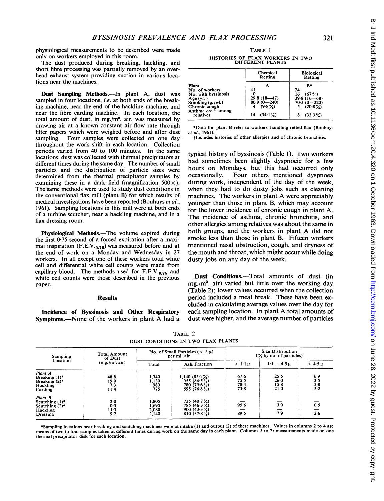physiological measurements to be described were made only on workers employed in this room.

The dust produced during breaking, hackling, and short fibre processing was partially removed by an overhead exhaust system providing suction in various locations near the machines.

Dust Sampling Methods.--In plant A, dust was sampled in four locations, *i.e.* at both ends of the breaking machine, near the end of the hackling machine, and near the fibre carding machine. In each location, the total amount of dust, in mg./m3. air, was measured by drawing air at a known constant air flow rate through filter papers which were weighed before and after dust sampling. Four samples were collected on one day throughout the work shift in each location. Collection periods varied from 40 to 100 minutes. In the same locations, dust was collected with thermal precipitators at different times during the same day. The number of small particles and the distribution of particle sizes were determined from the thermal precipitator samples by examining these in a dark field (magnification  $500 \times$ ). The same methods were used to study dust conditions in the conventional flax mill (plant B) for which results of medical investigations have been reported (Bouhuys *et al.*, 1961). Sampling locations in this mill were at both ends of a turbine scutcher, near a hackling machine, and in a flax dressing room.

Physiological Methods.-The volume expired during the first  $0.75$  second of a forced expiration after a maximal inspiration  $(F.E.V.0.75)$  was measured before and at the end of work on a Monday and Wednesday in 27 workers. In all except one of these workers total white cell and differential white cell counts were made from capillary blood. The methods used for  $F.E.V.0.75$  and white cell counts were those described in the previous paper.

### **Results**

Incidence of Byssinosis and Other Respiratory Symptoms.—None of the workers in plant A had a

TABLE <sup>1</sup>

| HISTORIES OF FLAX WORKERS IN TWO<br>DIFFERENT PLANTS                                                                                                |                                                                          |                                                                                                |  |  |  |  |  |  |
|-----------------------------------------------------------------------------------------------------------------------------------------------------|--------------------------------------------------------------------------|------------------------------------------------------------------------------------------------|--|--|--|--|--|--|
|                                                                                                                                                     | Chemical<br>Retting                                                      | <b>Biological</b><br>Retting                                                                   |  |  |  |  |  |  |
| Plant<br>No. of workers<br>No. with byssinosis<br>Age $(yr.)$<br>Smoking $(g. /wk)$<br>Chronic cough<br>Asthma etc. <sup>†</sup> among<br>relatives | 41<br>0<br>29.8 (18-47)<br>80.9 (0-240)<br>$(9.8\%)$<br>$(34.1\%)$<br>14 | R۰<br>24<br>16<br>(67%)<br>$39.8(16 - 68)$<br>$70.3(0 - 220)$<br>$(20.8\%)$<br>$(33.3\%)$<br>8 |  |  |  |  |  |  |

\*Data for plant B refer to workers handling retted flax (Bouhuys et al., 1961).

tlncludes histories of other allergies and of chronic bronchitis.

typical history of byssinosis (Table 1). Two workers had sometimes been slightly dyspnoeic for a few hours on Mondays, but this had occurred only<br>occasionally. Four others mentioned dyspnoea Four others mentioned dyspnoea during work, independent of the day of the week, when they had to do dusty jobs such as cleaning machines. The workers in plant A were appreciably younger than those in plant B, which may account for the lower incidence of chronic cough in plant A. The incidence of asthma, chronic bronchitis, and other allergies among relatives was about the same in both groups, and the workers in plant A did not smoke less than those in plant B. Fifteen workers mentioned nasal obstruction, cough, and dryness of the mouth and throat, which might occur while doing dusty jobs on any day of the week.

Dust Conditions.-Total amounts of dust (in  $mg/m<sup>3</sup>$ . air) varied but little over the working day (Table 2); lower values occurred when the collection period included a meal break. These have been excluded in calculating average values over the day for each sampling location. In plant A total amounts of dust were higher, and the average number of particles

| <b>Sampling</b><br>Location                                            | <b>Total Amount</b><br>of Dust<br>$(mg./m^3. air)$ |                                  | No. of Small Particles ( $< 5 \mu$ )<br>per ml. air                       | <b>Size Distribution</b><br>$\frac{9}{6}$ by no. of particles) |                                    |                            |
|------------------------------------------------------------------------|----------------------------------------------------|----------------------------------|---------------------------------------------------------------------------|----------------------------------------------------------------|------------------------------------|----------------------------|
|                                                                        |                                                    | Total                            | <b>Ash Fraction</b>                                                       | $< 1.1 \mathrm{u}$                                             | $1-1 - 4.5 \mu$                    | $>$ 4.5 $\mu$              |
| Plant A<br>Breaking $(1)^*$<br>Breaking $(2)^*$<br>Hackling<br>Carding | 48.8<br>19.0<br>7.3<br>$11 - 4$                    | 1.340<br>1,130<br>980<br>775     | 1.140(85.1%)<br>955(84.5%)<br>780 (79.6 $\frac{5}{6}$ )<br>595 $(76.8\%)$ | 67.6<br>75.5<br>$78-4$<br>$73 - 8$                             | 25.5<br>26.0<br>$15-8$<br>$21 - 0$ | 6.9<br>3.5<br>5.8<br>$5-2$ |
| Plant B<br>Scutching (1)*<br>Scutching $(2)^*$<br>Hackling<br>Dressing | 2.0<br>0.5<br>$11-3$<br>9.2                        | 1.805<br>1.695<br>2.080<br>2.140 | 735(40.7%)<br>785(46.3%)<br>900 $(43.3\%)$<br>810(37.8%)                  | $95 - 6$<br>89.5                                               | 3.9<br>7.9                         | 0.5<br>2.6                 |

TABLE 2 DUST CONDITIONS IN TWO FLAX PLANTS

\*Sampling locations near breaking and scutching machines were at intake (1) and output (2) of these machines. Values in columns <sup>2</sup> to 4 are means of two to four samples taken at different times during work on the same day in each plant. Columns <sup>5</sup> to 7: measurements made on one thermal precipitator disk for each location.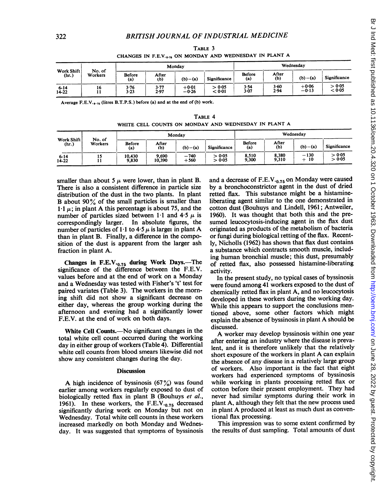|                     |                   |                      |              | Monday             | Wednesday        |               |              |                    |                  |
|---------------------|-------------------|----------------------|--------------|--------------------|------------------|---------------|--------------|--------------------|------------------|
| Work Shift<br>(hr.) | No. of<br>Workers | <b>Before</b><br>(a) | After<br>(b) | $(b)-(a)$          | Significance     | Before<br>(a) | After<br>(b) | $(b)$ – (a)        | Significance     |
| $6 - 14$<br>14-22   | 16                | 3.76<br>$3 - 23$     | 3.77<br>2.97 | $+0.01$<br>$-0.26$ | > 0.05<br>< 0.01 | 3.54<br>3.07  | 3.60<br>2.94 | $+0.06$<br>$-0.13$ | > 0.05<br>< 0.05 |

TABLE 3 CHANGES IN F.E.V.<sub>0.75</sub> ON MONDAY AND WEDNESDAY IN PLANT A

Average F.E.V. $_0.75$  (litres B.T.P.S.) before (a) and at the end of (b) work.

| TABLE 4 |  |  |  |  |  |                                                      |  |  |  |
|---------|--|--|--|--|--|------------------------------------------------------|--|--|--|
|         |  |  |  |  |  | WHITE CELL COUNTS ON MONDAY AND WEDNESDAY IN PLANT A |  |  |  |

|                       |                   | Monday          |                 |                  |                  | Wednesday      |                |                 |                  |
|-----------------------|-------------------|-----------------|-----------------|------------------|------------------|----------------|----------------|-----------------|------------------|
| Work Shift<br>(hr.)   | No. of<br>Workers | Before<br>(a)   | After<br>(b)    | $(b)-(a)$        | Significance     | Before<br>(a)  | After<br>(b)   | $(b) - (a)$     | Significance     |
| $6 - 14$<br>$14 - 22$ | 15                | 10.430<br>9,830 | 9.690<br>10,390 | $-740$<br>$+560$ | > 0.05<br>> 0.05 | 8.510<br>9.300 | 8,380<br>9.310 | $-130$<br>$+10$ | > 0.05<br>> 0.05 |

smaller than about 5  $\mu$  were lower, than in plant B. There is also a consistent difference in particle size distribution of the dust in the two plants. In plant B about  $90\%$  of the small particles is smaller than 1.1  $\mu$ ; in plant A this percentage is about 75, and the number of particles sized between 1.1 and 4.5  $\mu$  is correspondingly larger. In absolute figures, the number of particles of 1.1 to 4.5  $\mu$  is larget in plant A than in plant B. Finally, a difference in the composition of the dust is apparent from the larger ash fraction in plant A.

Changes in  $F.E.V._0.75$  during Work Days.—The significance of the difference between the F.E.V. values before and at the end of work on a Monday and a Wednesday was tested with Fisher's 't' test for paired variates (Table 3). The workers in the morning shift did not show a significant decrease on either day, whereas the group working during the afternoon and evening had a significantly lower F.E.V. at the end of work on both days.

White Cell Counts.-No significant changes in the total white cell count occurred during the working day in either group of workers (Table 4). Differential white cell counts from blood smears likewise did not show any consistent changes during the day.

## **Discussion**

A high incidence of byssinosis  $(67\%)$  was found earlier among workers regularly exposed to dust of biologically retted flax in plant B (Bouhuys et al., 1961). In these workers, the F.E.V. $_{0.75}$  decreased significantly during work on Monday but not on Wednesday. Total white cell counts in these workers increased markedly on both Monday and Wednesday. It was suggested that symptoms of byssinosis

and a decrease of  $F.E.V._{0.75}$  on Monday were caused by a bronchoconstrictor agent in the dust of dried retted flax. This substance might be a histamineliberating agent similar to the one demonstrated in cotton dust (Bouhuys and Lindell, 1961; Antweiler, 1960). It was thought that both this and the presumed leucocytosis-inducing agent in the flax dust originated as products of the metabolism of bacteria or fungi during biological retting of the flax. Recently, Nicholls (1962) has shown that flax dust contains a substance which contracts smooth muscle, including human bronchial muscle; this dust, presumably of retted flax, also possessed histamine-liberating activity.

In the present study, no typical cases of byssinosis were found among 41 workers exposed to the dust of chemically retted flax in plant A, and no leucocytosis developed in these workers during the working day. While this appears to support the conclusions mentioned above, some other factors which might explain the absence of byssinosis in plant A should be discussed.

A worker may develop byssinosis within one year after entering an industry where the disease is prevalent, and it is therefore unlikely that the relatively short exposure of the workers in plant A can explain the absence of any disease in a relatively large group of workers. Also important is the fact that eight workers had experienced symptoms of byssinosis while working in plants processing retted flax or cotton before their present employment. They had never had similar symptoms during their work in plant A, although they felt that the new process used in plant A produced at least as much dust as conventional flax processing.

This impression was to some extent confirmed by the results of dust sampling. Total amounts of dust